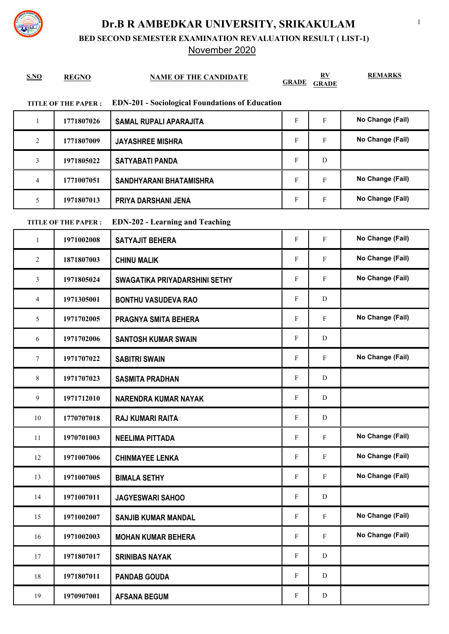

## **Dr.B R AMBEDKAR UNIVERSITY, SRIKAKULAM**

**BED SECOND SEMESTER EXAMINATION REVALUATION RESULT ( LIST-1)**

## November 2020

| S.NO                                                                                 | <b>REGNO</b> | <b>NAME OF THE CANDIDATE</b>  | <b>GRADE</b>              | $\mathbf{R}$ <b>V</b><br><b>GRADE</b> | <b>REMARKS</b>   |  |  |  |
|--------------------------------------------------------------------------------------|--------------|-------------------------------|---------------------------|---------------------------------------|------------------|--|--|--|
| <b>EDN-201 - Sociological Foundations of Education</b><br><b>TITLE OF THE PAPER:</b> |              |                               |                           |                                       |                  |  |  |  |
| 1                                                                                    | 1771807026   | <b>SAMAL RUPALI APARAJITA</b> | F                         | F                                     | No Change (Fail) |  |  |  |
| $\overline{2}$                                                                       | 1771807009   | <b>JAYASHREE MISHRA</b>       | F                         | F                                     | No Change (Fail) |  |  |  |
| 3                                                                                    | 1971805022   | <b>SATYABATI PANDA</b>        | F                         | D                                     |                  |  |  |  |
| $\overline{4}$                                                                       | 1771007051   | SANDHYARANI BHATAMISHRA       | F                         | F                                     | No Change (Fail) |  |  |  |
| 5                                                                                    | 1971807013   | PRIYA DARSHANI JENA           | F                         | F                                     | No Change (Fail) |  |  |  |
| <b>EDN-202 - Learning and Teaching</b><br><b>TITLE OF THE PAPER:</b>                 |              |                               |                           |                                       |                  |  |  |  |
| $\mathbf{1}$                                                                         | 1971002008   | <b>SATYAJIT BEHERA</b>        | $\boldsymbol{\mathrm{F}}$ | $\mathbf{F}$                          | No Change (Fail) |  |  |  |
| 2                                                                                    | 1871807003   | <b>CHINU MALIK</b>            | $\boldsymbol{\mathrm{F}}$ | F                                     | No Change (Fail) |  |  |  |
| 3                                                                                    | 1971805024   | SWAGATIKA PRIYADARSHINI SETHY | F                         | F                                     | No Change (Fail) |  |  |  |
| 4                                                                                    | 1971305001   | <b>BONTHU VASUDEVA RAO</b>    | F                         | D                                     |                  |  |  |  |
| 5                                                                                    | 1971702005   | PRAGNYA SMITA BEHERA          | F                         | F                                     | No Change (Fail) |  |  |  |
| 6                                                                                    | 1971702006   | <b>SANTOSH KUMAR SWAIN</b>    | F                         | D                                     |                  |  |  |  |
| $\tau$                                                                               | 1971707022   | <b>SABITRI SWAIN</b>          | F                         | F                                     | No Change (Fail) |  |  |  |
| 8                                                                                    | 1971707023   | <b>SASMITA PRADHAN</b>        | F                         | D                                     |                  |  |  |  |
| 9                                                                                    | 1971712010   | <b>NARENDRA KUMAR NAYAK</b>   | F                         | D                                     |                  |  |  |  |
| 10                                                                                   | 1770707018   | <b>RAJ KUMARI RAITA</b>       | ${\rm F}$                 | ${\bf D}$                             |                  |  |  |  |
| 11                                                                                   | 1970701003   | <b>NEELIMA PITTADA</b>        | $\mathbf{F}$              | F                                     | No Change (Fail) |  |  |  |
| 12                                                                                   | 1971007006   | <b>CHINMAYEE LENKA</b>        | F                         | $\mathbf{F}$                          | No Change (Fail) |  |  |  |
| 13                                                                                   | 1971007005   | <b>BIMALA SETHY</b>           | $\mathbf{F}$              | $\mathbf{F}$                          | No Change (Fail) |  |  |  |
| 14                                                                                   | 1971007011   | <b>JAGYESWARI SAHOO</b>       | F                         | ${\bf D}$                             |                  |  |  |  |
| 15                                                                                   | 1971002007   | <b>SANJIB KUMAR MANDAL</b>    | $\mathbf F$               | $\mathbf{F}$                          | No Change (Fail) |  |  |  |
| 16                                                                                   | 1971002003   | <b>MOHAN KUMAR BEHERA</b>     | F                         | F                                     | No Change (Fail) |  |  |  |
| 17                                                                                   | 1971807017   | <b>SRINIBAS NAYAK</b>         | $\mathbf{F}$              | D                                     |                  |  |  |  |
| 18                                                                                   | 1971807011   | <b>PANDAB GOUDA</b>           | F                         | D                                     |                  |  |  |  |
| 19                                                                                   | 1970907001   | <b>AFSANA BEGUM</b>           | ${\bf F}$                 | ${\bf D}$                             |                  |  |  |  |